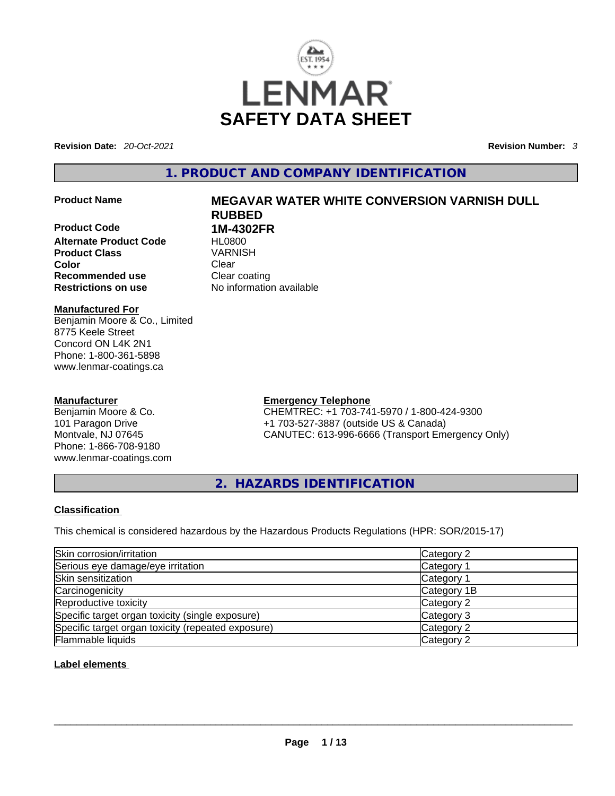

**Revision Date:** *20-Oct-2021* **Revision Number:** *3*

# **1. PRODUCT AND COMPANY IDENTIFICATION**

**Product Code 1M-4302FR Alternate Product Code** HL0800 **Product Class** VARNISH **Color Clear Clear Recommended use Clear coating<br>
<b>Restrictions on use** 
No information

# **Manufactured For**

Benjamin Moore & Co., Limited 8775 Keele Street Concord ON L4K 2N1 Phone: 1-800-361-5898 www.lenmar-coatings.ca

# **Manufacturer**

Benjamin Moore & Co. 101 Paragon Drive Montvale, NJ 07645 Phone: 1-866-708-9180 www.lenmar-coatings.com

# **Product Name MEGAVAR WATER WHITE CONVERSION VARNISH DULL RUBBED**

**Restrictions on use** No information available

**Emergency Telephone** CHEMTREC: +1 703-741-5970 / 1-800-424-9300

+1 703-527-3887 (outside US & Canada) CANUTEC: 613-996-6666 (Transport Emergency Only)

**2. HAZARDS IDENTIFICATION** 

# **Classification**

This chemical is considered hazardous by the Hazardous Products Regulations (HPR: SOR/2015-17)

| Skin corrosion/irritation                          | Category 2  |
|----------------------------------------------------|-------------|
| Serious eye damage/eye irritation                  | Category 1  |
| Skin sensitization                                 | Category 1  |
| Carcinogenicity                                    | Category 1B |
| Reproductive toxicity                              | Category 2  |
| Specific target organ toxicity (single exposure)   | Category 3  |
| Specific target organ toxicity (repeated exposure) | Category 2  |
| Flammable liquids                                  | Category 2  |
| Label elements                                     |             |
|                                                    |             |
|                                                    |             |
|                                                    |             |

# **Label elements**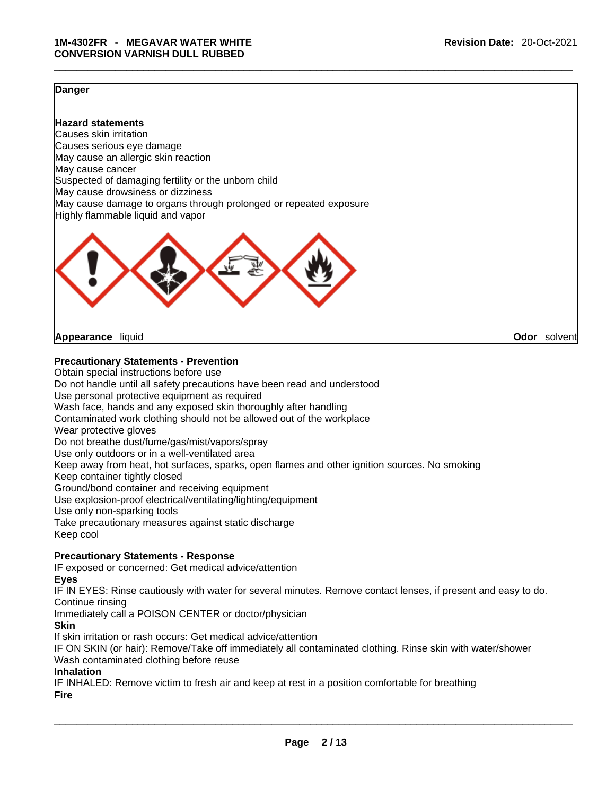### **Danger**

**Hazard statements** Causes skin irritation Causes serious eye damage May cause an allergic skin reaction May cause cancer Suspected of damaging fertility or the unborn child May cause drowsiness or dizziness May cause damage to organs through prolonged or repeated exposure Highly flammable liquid and vapor



**Appearance** liquid **Odor** solvent

# **Precautionary Statements - Prevention**

Obtain special instructions before use Do not handle until all safety precautions have been read and understood Use personal protective equipment as required Wash face, hands and any exposed skin thoroughly after handling Contaminated work clothing should not be allowed out of the workplace Wear protective gloves Do not breathe dust/fume/gas/mist/vapors/spray Use only outdoors or in a well-ventilated area Keep away from heat, hot surfaces, sparks, open flames and other ignition sources. No smoking Keep container tightly closed Ground/bond container and receiving equipment Use explosion-proof electrical/ventilating/lighting/equipment Use only non-sparking tools Take precautionary measures against static discharge Keep cool

### **Precautionary Statements - Response**

IF exposed or concerned: Get medical advice/attention **Eyes**

IF IN EYES: Rinse cautiously with water forseveral minutes. Remove contact lenses, if present and easy to do. Continue rinsing

Immediately call a POISON CENTER or doctor/physician

**Skin**

If skin irritation or rash occurs: Get medical advice/attention

IF ON SKIN (or hair): Remove/Take off immediately all contaminated clothing. Rinse skin with water/shower Wash contaminated clothing before reuse

# **Inhalation**

IF INHALED: Remove victim to fresh air and keep at rest in a position comfortable for breathing **Fire**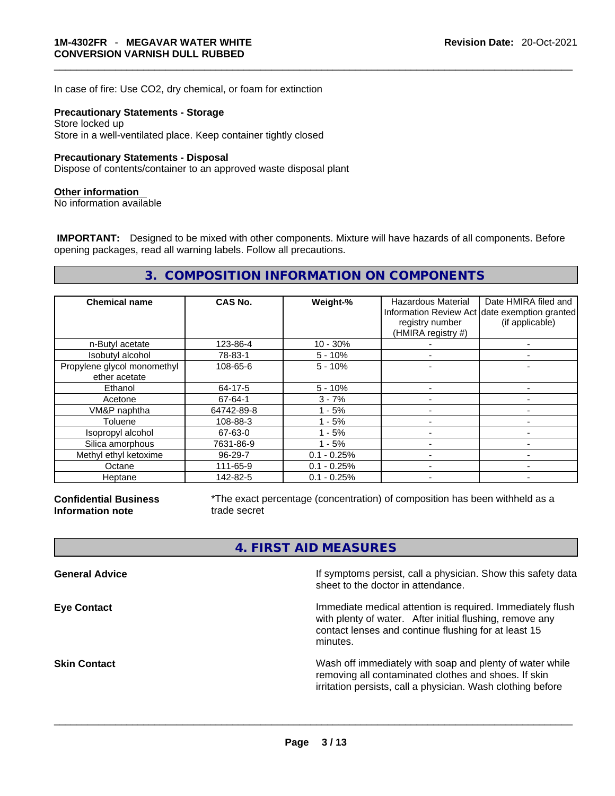In case of fire: Use CO2, dry chemical, or foam for extinction

# **Precautionary Statements - Storage** Store locked up

Store in a well-ventilated place. Keep container tightly closed

# **Precautionary Statements - Disposal**

Dispose of contents/container to an approved waste disposal plant

### **Other information**

No information available

 **IMPORTANT:** Designed to be mixed with other components. Mixture will have hazards of all components. Before opening packages, read all warning labels. Follow all precautions.

# **3. COMPOSITION INFORMATION ON COMPONENTS**

| <b>Chemical name</b>                         | CAS No.    | Weight-%      | <b>Hazardous Material</b><br>registry number<br>(HMIRA registry #) | Date HMIRA filed and<br>Information Review Act date exemption granted<br>(if applicable) |
|----------------------------------------------|------------|---------------|--------------------------------------------------------------------|------------------------------------------------------------------------------------------|
| n-Butyl acetate                              | 123-86-4   | $10 - 30%$    |                                                                    |                                                                                          |
| Isobutyl alcohol                             | 78-83-1    | $5 - 10%$     |                                                                    | -                                                                                        |
| Propylene glycol monomethyl<br>ether acetate | 108-65-6   | $5 - 10%$     |                                                                    |                                                                                          |
| Ethanol                                      | 64-17-5    | $5 - 10%$     |                                                                    |                                                                                          |
| Acetone                                      | 67-64-1    | $3 - 7%$      |                                                                    |                                                                                          |
| VM&P naphtha                                 | 64742-89-8 | $1 - 5%$      | $\overline{\phantom{0}}$                                           | $\overline{\phantom{0}}$                                                                 |
| Toluene                                      | 108-88-3   | $1 - 5%$      |                                                                    |                                                                                          |
| Isopropyl alcohol                            | 67-63-0    | $1 - 5%$      |                                                                    |                                                                                          |
| Silica amorphous                             | 7631-86-9  | 1 - 5%        |                                                                    |                                                                                          |
| Methyl ethyl ketoxime                        | 96-29-7    | $0.1 - 0.25%$ |                                                                    |                                                                                          |
| Octane                                       | 111-65-9   | $0.1 - 0.25%$ |                                                                    | -                                                                                        |
| Heptane                                      | 142-82-5   | $0.1 - 0.25%$ |                                                                    |                                                                                          |

**Confidential Business Information note**

\*The exact percentage (concentration) of composition has been withheld as a trade secret

# **4. FIRST AID MEASURES**

| <b>General Advice</b> | If symptoms persist, call a physician. Show this safety data<br>sheet to the doctor in attendance.                                                                                         |
|-----------------------|--------------------------------------------------------------------------------------------------------------------------------------------------------------------------------------------|
| <b>Eye Contact</b>    | Immediate medical attention is required. Immediately flush<br>with plenty of water. After initial flushing, remove any<br>contact lenses and continue flushing for at least 15<br>minutes. |
| <b>Skin Contact</b>   | Wash off immediately with soap and plenty of water while<br>removing all contaminated clothes and shoes. If skin<br>irritation persists, call a physician. Wash clothing before            |
|                       |                                                                                                                                                                                            |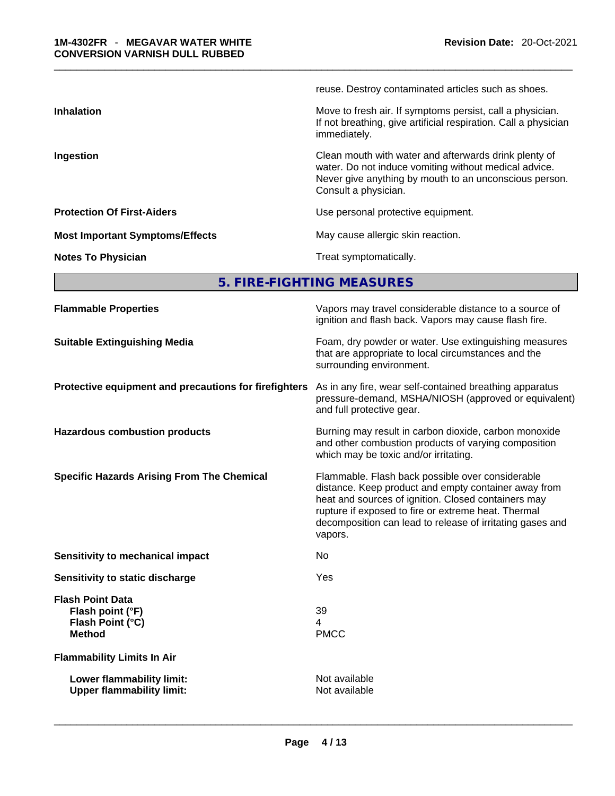|                                        | reuse. Destroy contaminated articles such as shoes.                                                                                                                                              |
|----------------------------------------|--------------------------------------------------------------------------------------------------------------------------------------------------------------------------------------------------|
| <b>Inhalation</b>                      | Move to fresh air. If symptoms persist, call a physician.<br>If not breathing, give artificial respiration. Call a physician<br>immediately.                                                     |
| Ingestion                              | Clean mouth with water and afterwards drink plenty of<br>water. Do not induce vomiting without medical advice.<br>Never give anything by mouth to an unconscious person.<br>Consult a physician. |
| <b>Protection Of First-Aiders</b>      | Use personal protective equipment.                                                                                                                                                               |
| <b>Most Important Symptoms/Effects</b> | May cause allergic skin reaction.                                                                                                                                                                |
| <b>Notes To Physician</b>              | Treat symptomatically.                                                                                                                                                                           |

**5. FIRE-FIGHTING MEASURES** 

| <b>Flammable Properties</b>                                                      | Vapors may travel considerable distance to a source of<br>ignition and flash back. Vapors may cause flash fire.                                                                                                                                                                                |
|----------------------------------------------------------------------------------|------------------------------------------------------------------------------------------------------------------------------------------------------------------------------------------------------------------------------------------------------------------------------------------------|
| <b>Suitable Extinguishing Media</b>                                              | Foam, dry powder or water. Use extinguishing measures<br>that are appropriate to local circumstances and the<br>surrounding environment.                                                                                                                                                       |
| Protective equipment and precautions for firefighters                            | As in any fire, wear self-contained breathing apparatus<br>pressure-demand, MSHA/NIOSH (approved or equivalent)<br>and full protective gear.                                                                                                                                                   |
| <b>Hazardous combustion products</b>                                             | Burning may result in carbon dioxide, carbon monoxide<br>and other combustion products of varying composition<br>which may be toxic and/or irritating.                                                                                                                                         |
| <b>Specific Hazards Arising From The Chemical</b>                                | Flammable. Flash back possible over considerable<br>distance. Keep product and empty container away from<br>heat and sources of ignition. Closed containers may<br>rupture if exposed to fire or extreme heat. Thermal<br>decomposition can lead to release of irritating gases and<br>vapors. |
| <b>Sensitivity to mechanical impact</b>                                          | No                                                                                                                                                                                                                                                                                             |
| Sensitivity to static discharge                                                  | Yes                                                                                                                                                                                                                                                                                            |
| <b>Flash Point Data</b><br>Flash point (°F)<br>Flash Point (°C)<br><b>Method</b> | 39<br>4<br><b>PMCC</b>                                                                                                                                                                                                                                                                         |
| <b>Flammability Limits In Air</b>                                                |                                                                                                                                                                                                                                                                                                |
| Lower flammability limit:<br><b>Upper flammability limit:</b>                    | Not available<br>Not available                                                                                                                                                                                                                                                                 |
|                                                                                  |                                                                                                                                                                                                                                                                                                |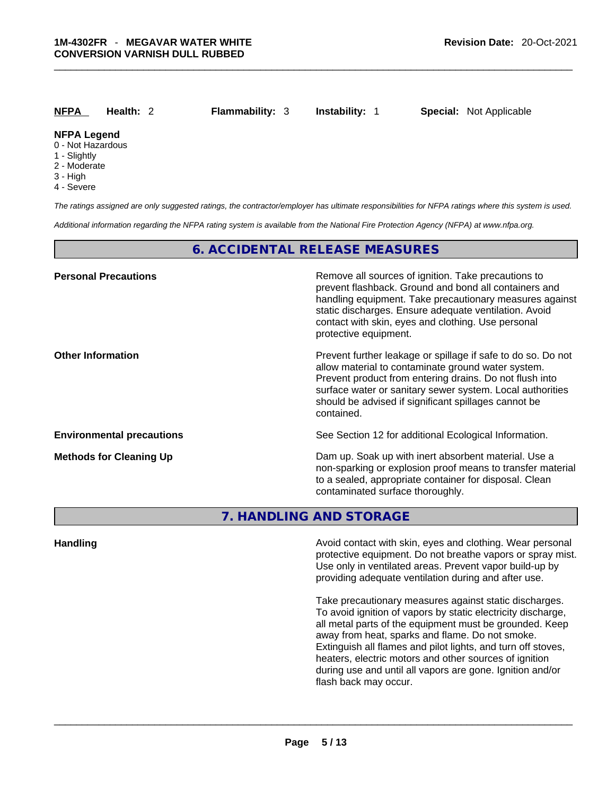# **NFPA Health:** 2 **Flammability:** 3 **Instability:** 1 **Special:** Not Applicable **NFPA Legend**

#### 0 - Not Hazardous

- 1 Slightly
- 2 Moderate
- 3 High
- 4 Severe
- 

*The ratings assigned are only suggested ratings, the contractor/employer has ultimate responsibilities for NFPA ratings where this system is used.* 

*Additional information regarding the NFPA rating system is available from the National Fire Protection Agency (NFPA) at www.nfpa.org.* 

**6. ACCIDENTAL RELEASE MEASURES** 

| <b>Personal Precautions</b>      | Remove all sources of ignition. Take precautions to<br>prevent flashback. Ground and bond all containers and<br>handling equipment. Take precautionary measures against<br>static discharges. Ensure adequate ventilation. Avoid<br>contact with skin, eyes and clothing. Use personal<br>protective equipment.  |
|----------------------------------|------------------------------------------------------------------------------------------------------------------------------------------------------------------------------------------------------------------------------------------------------------------------------------------------------------------|
| <b>Other Information</b>         | Prevent further leakage or spillage if safe to do so. Do not<br>allow material to contaminate ground water system.<br>Prevent product from entering drains. Do not flush into<br>surface water or sanitary sewer system. Local authorities<br>should be advised if significant spillages cannot be<br>contained. |
| <b>Environmental precautions</b> | See Section 12 for additional Ecological Information.                                                                                                                                                                                                                                                            |
| <b>Methods for Cleaning Up</b>   | Dam up. Soak up with inert absorbent material. Use a<br>non-sparking or explosion proof means to transfer material<br>to a sealed, appropriate container for disposal. Clean<br>contaminated surface thoroughly.                                                                                                 |

**7. HANDLING AND STORAGE** 

**Handling Handling Avoid contact with skin, eyes and clothing. Wear personal versus and clothing. Wear personal** protective equipment. Do not breathe vapors or spray mist. Use only in ventilated areas. Prevent vapor build-up by providing adequate ventilation during and after use.

> Take precautionary measures against static discharges. To avoid ignition of vapors by static electricity discharge, all metal parts of the equipment must be grounded. Keep away from heat, sparks and flame. Do not smoke. Extinguish all flames and pilot lights, and turn off stoves, heaters, electric motors and other sources of ignition during use and until all vapors are gone. Ignition and/or flash back may occur.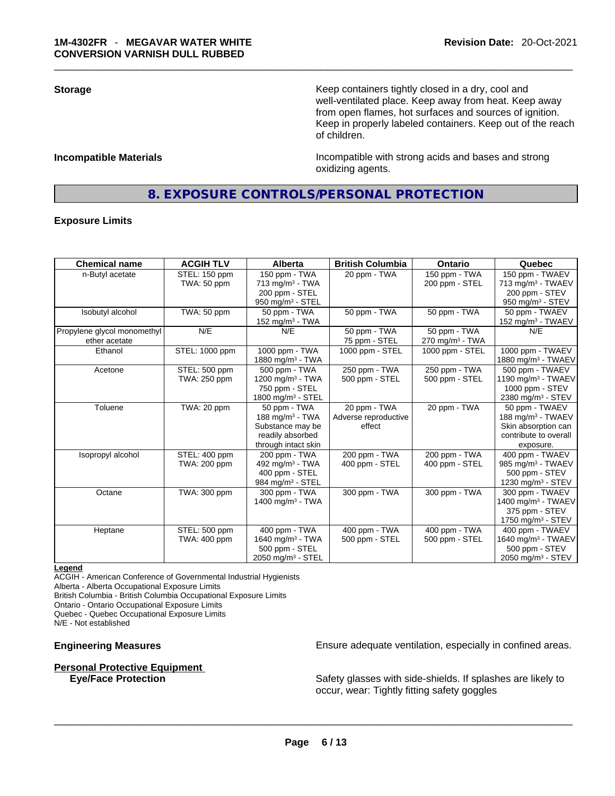**Storage Keep containers tightly closed in a dry, cool and get a dry and storage Keep containers tightly closed in a dry, cool and** well-ventilated place. Keep away from heat. Keep away from open flames, hot surfaces and sources of ignition. Keep in properly labeled containers. Keep out of the reach of children.

**Incompatible Materials Incompatible with strong acids and bases and strong** oxidizing agents.

# **8. EXPOSURE CONTROLS/PERSONAL PROTECTION**

### **Exposure Limits**

| <b>Chemical name</b>        | <b>ACGIH TLV</b> | Alberta                       | <b>British Columbia</b> | Ontario                     | Quebec                         |
|-----------------------------|------------------|-------------------------------|-------------------------|-----------------------------|--------------------------------|
| n-Butyl acetate             | STEL: 150 ppm    | 150 ppm - TWA                 | 20 ppm - TWA            | 150 ppm - TWA               | 150 ppm - TWAEV                |
|                             | TWA: 50 ppm      | $713$ mg/m <sup>3</sup> - TWA |                         | 200 ppm - STEL              | 713 mg/m <sup>3</sup> - TWAEV  |
|                             |                  | 200 ppm - STEL                |                         |                             | 200 ppm - STEV                 |
|                             |                  | 950 mg/m <sup>3</sup> - STEL  |                         |                             | 950 mg/m $3 -$ STEV            |
| Isobutyl alcohol            | TWA: 50 ppm      | 50 ppm - TWA                  | 50 ppm - TWA            | 50 ppm - TWA                | 50 ppm - TWAEV                 |
|                             |                  | 152 mg/m $3$ - TWA            |                         |                             | 152 mg/m <sup>3</sup> - TWAEV  |
| Propylene glycol monomethyl | N/E              | N/E                           | 50 ppm - TWA            | 50 ppm - TWA                | N/E                            |
| ether acetate               |                  |                               | 75 ppm - STEL           | 270 mg/m <sup>3</sup> - TWA |                                |
| Ethanol                     | STEL: 1000 ppm   | 1000 ppm - TWA                | 1000 ppm - STEL         | 1000 ppm - STEL             | 1000 ppm - TWAEV               |
|                             |                  | 1880 mg/m <sup>3</sup> - TWA  |                         |                             | 1880 mg/m <sup>3</sup> - TWAEV |
| Acetone                     | STEL: 500 ppm    | 500 ppm - TWA                 | 250 ppm - TWA           | 250 ppm - TWA               | 500 ppm - TWAEV                |
|                             | TWA: 250 ppm     | 1200 mg/m $3$ - TWA           | 500 ppm - STEL          | 500 ppm - STEL              | 1190 mg/m $3$ - TWAEV          |
|                             |                  | 750 ppm - STEL                |                         |                             | 1000 ppm - STEV                |
|                             |                  | 1800 mg/m <sup>3</sup> - STEL |                         |                             | 2380 mg/m <sup>3</sup> - STEV  |
| Toluene                     | TWA: 20 ppm      | 50 ppm - TWA                  | 20 ppm - TWA            | 20 ppm - TWA                | 50 ppm - TWAEV                 |
|                             |                  | 188 mg/m $3$ - TWA            | Adverse reproductive    |                             | 188 mg/m $3$ - TWAEV           |
|                             |                  | Substance may be              | effect                  |                             | Skin absorption can            |
|                             |                  | readily absorbed              |                         |                             | contribute to overall          |
|                             |                  | through intact skin           |                         |                             | exposure.                      |
| Isopropyl alcohol           | STEL: 400 ppm    | 200 ppm - TWA                 | 200 ppm - TWA           | 200 ppm - TWA               | 400 ppm - TWAEV                |
|                             | TWA: 200 ppm     | 492 mg/m <sup>3</sup> - TWA   | 400 ppm - STEL          | 400 ppm - STEL              | 985 mg/m <sup>3</sup> - TWAEV  |
|                             |                  | 400 ppm - STEL                |                         |                             | 500 ppm - STEV                 |
|                             |                  | 984 mg/m <sup>3</sup> - STEL  |                         |                             | 1230 mg/m <sup>3</sup> - STEV  |
| Octane                      | TWA: 300 ppm     | 300 ppm - TWA                 | 300 ppm - TWA           | 300 ppm - TWA               | 300 ppm - TWAEV                |
|                             |                  | 1400 mg/m $3$ - TWA           |                         |                             | 1400 mg/m <sup>3</sup> - TWAEV |
|                             |                  |                               |                         |                             | 375 ppm - STEV                 |
|                             |                  |                               |                         |                             | 1750 mg/m $3 -$ STEV           |
| Heptane                     | STEL: 500 ppm    | 400 ppm - TWA                 | 400 ppm - TWA           | 400 ppm - TWA               | 400 ppm - TWAEV                |
|                             | TWA: 400 ppm     | 1640 mg/m <sup>3</sup> - TWA  | 500 ppm - STEL          | 500 ppm - STEL              | 1640 mg/m <sup>3</sup> - TWAEV |
|                             |                  | 500 ppm - STEL                |                         |                             | 500 ppm - STEV                 |
|                             |                  | 2050 mg/m <sup>3</sup> - STEL |                         |                             | 2050 mg/m <sup>3</sup> - STEV  |

#### **Legend**

ACGIH - American Conference of Governmental Industrial Hygienists

Alberta - Alberta Occupational Exposure Limits

British Columbia - British Columbia Occupational Exposure Limits

Ontario - Ontario Occupational Exposure Limits

Quebec - Quebec Occupational Exposure Limits

N/E - Not established

# **Personal Protective Equipment**

**Engineering Measures Ensure adequate ventilation, especially in confined areas.** 

**Eye/Face Protection** Safety glasses with side-shields. If splashes are likely to occur, wear: Tightly fitting safety goggles \_\_\_\_\_\_\_\_\_\_\_\_\_\_\_\_\_\_\_\_\_\_\_\_\_\_\_\_\_\_\_\_\_\_\_\_\_\_\_\_\_\_\_\_\_\_\_\_\_\_\_\_\_\_\_\_\_\_\_\_\_\_\_\_\_\_\_\_\_\_\_\_\_\_\_\_\_\_\_\_\_\_\_\_\_\_\_\_\_\_\_\_\_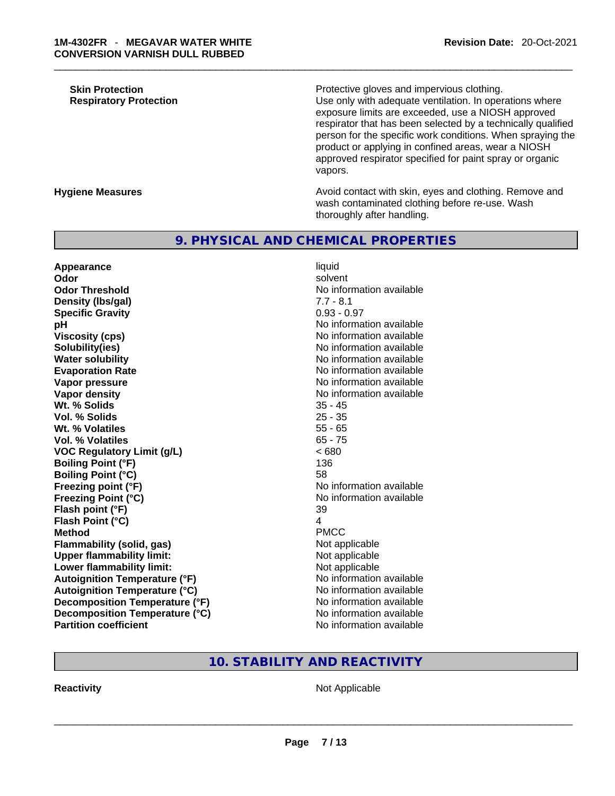**Skin Protection Protection Protective gloves and impervious clothing. Respiratory Protection Number 2** Use only with adequate ventilation. In operations where exposure limits are exceeded, use a NIOSH approved respirator that has been selected by a technically qualified person for the specific work conditions. When spraying the product or applying in confined areas, wear a NIOSH approved respirator specified for paint spray or organic vapors.

**Hygiene Measures Avoid contact with skin, eyes and clothing. Remove and Avoid contact with skin, eyes and clothing. Remove and Avoid contact with skin, eyes and clothing. Remove and** wash contaminated clothing before re-use. Wash thoroughly after handling.

# **9. PHYSICAL AND CHEMICAL PROPERTIES**

**Appearance** liquid **Odor Solvent Solvent Solvent Solvent Odor Threshold** No information available **Density (lbs/gal)** 7.7 - 8.1 **Specific Gravity** 0.93 - 0.97 **pH pH** *No* information available **Viscosity (cps) Viscosity (cps) No information available Solubility(ies)** No information available **Water solubility No information available No information available Evaporation Rate No information available No information available Vapor pressure**  No information available **No information** available **Vapor density No information available No information available Wt. % Solids** 35 - 45 **Vol. % Solids** 25 - 35 **Wt. % Volatiles** 55 - 65 **Vol. % Volatiles** 65 - 75 **VOC Regulatory Limit (g/L)** < 680 **Boiling Point (°F)** 136 **Boiling Point (°C)** 58 **Freezing point (°F)** No information available **Freezing Point (°C)** No information available **Flash point (°F)** 39 **Flash Point (°C)** 4 **Method** PMCC **Flammability (solid, gas)** Not applicable **Upper flammability limit:** Not applicable **Lower flammability limit:** Not applicable **Autoignition Temperature (°F)** No information available **Autoignition Temperature (°C)** No information available **Decomposition Temperature (°F)** No information available **Decomposition Temperature (°C)**<br> **Partition coefficient**<br> **Partition coefficient**<br> **No** information available

**No information available** 

# **10. STABILITY AND REACTIVITY**

**Reactivity** Not Applicable \_\_\_\_\_\_\_\_\_\_\_\_\_\_\_\_\_\_\_\_\_\_\_\_\_\_\_\_\_\_\_\_\_\_\_\_\_\_\_\_\_\_\_\_\_\_\_\_\_\_\_\_\_\_\_\_\_\_\_\_\_\_\_\_\_\_\_\_\_\_\_\_\_\_\_\_\_\_\_\_\_\_\_\_\_\_\_\_\_\_\_\_\_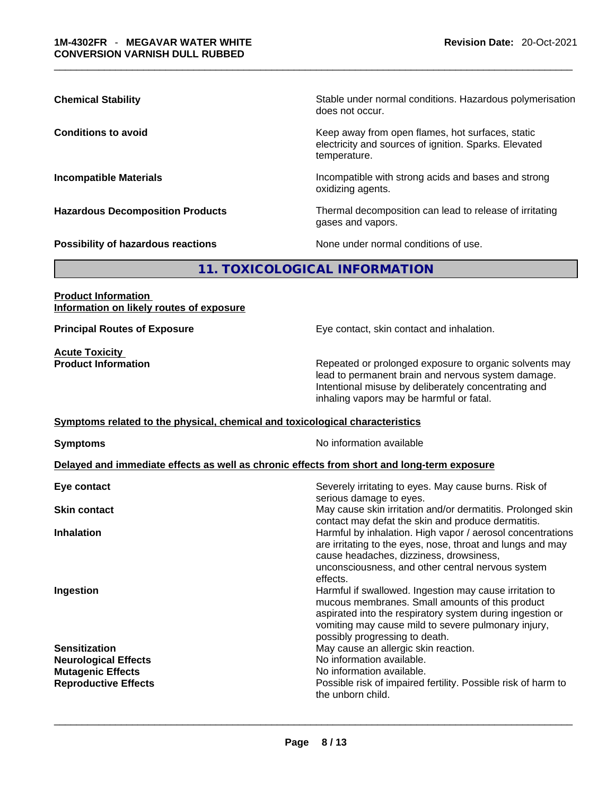| <b>Chemical Stability</b>                 | Stable under normal conditions. Hazardous polymerisation<br>does not occur.                                               |
|-------------------------------------------|---------------------------------------------------------------------------------------------------------------------------|
| <b>Conditions to avoid</b>                | Keep away from open flames, hot surfaces, static<br>electricity and sources of ignition. Sparks. Elevated<br>temperature. |
| <b>Incompatible Materials</b>             | Incompatible with strong acids and bases and strong<br>oxidizing agents.                                                  |
| <b>Hazardous Decomposition Products</b>   | Thermal decomposition can lead to release of irritating<br>gases and vapors.                                              |
| <b>Possibility of hazardous reactions</b> | None under normal conditions of use.                                                                                      |

# **11. TOXICOLOGICAL INFORMATION**

### **Product Information Information on likely routes of exposure**

**Acute Toxicity**<br>**Product Information** 

**Principal Routes of Exposure Exposure** Eye contact, skin contact and inhalation.

Repeated or prolonged exposure to organic solvents may lead to permanent brain and nervous system damage. Intentional misuse by deliberately concentrating and inhaling vapors may be harmful or fatal.

## **Symptoms related to the physical,chemical and toxicological characteristics**

**Symptoms Symptoms No information available** 

#### **Delayed and immediate effects as well as chronic effects from short and long-term exposure**

| Eye contact                 | Severely irritating to eyes. May cause burns. Risk of<br>serious damage to eyes.                                                                                                                                                                                 |
|-----------------------------|------------------------------------------------------------------------------------------------------------------------------------------------------------------------------------------------------------------------------------------------------------------|
| <b>Skin contact</b>         | May cause skin irritation and/or dermatitis. Prolonged skin<br>contact may defat the skin and produce dermatitis.                                                                                                                                                |
| <b>Inhalation</b>           | Harmful by inhalation. High vapor / aerosol concentrations<br>are irritating to the eyes, nose, throat and lungs and may<br>cause headaches, dizziness, drowsiness,<br>unconsciousness, and other central nervous system<br>effects.                             |
| Ingestion                   | Harmful if swallowed. Ingestion may cause irritation to<br>mucous membranes. Small amounts of this product<br>aspirated into the respiratory system during ingestion or<br>vomiting may cause mild to severe pulmonary injury,<br>possibly progressing to death. |
| <b>Sensitization</b>        | May cause an allergic skin reaction.                                                                                                                                                                                                                             |
| <b>Neurological Effects</b> | No information available.                                                                                                                                                                                                                                        |
| <b>Mutagenic Effects</b>    | No information available.                                                                                                                                                                                                                                        |
| <b>Reproductive Effects</b> | Possible risk of impaired fertility. Possible risk of harm to<br>the unborn child.                                                                                                                                                                               |
|                             |                                                                                                                                                                                                                                                                  |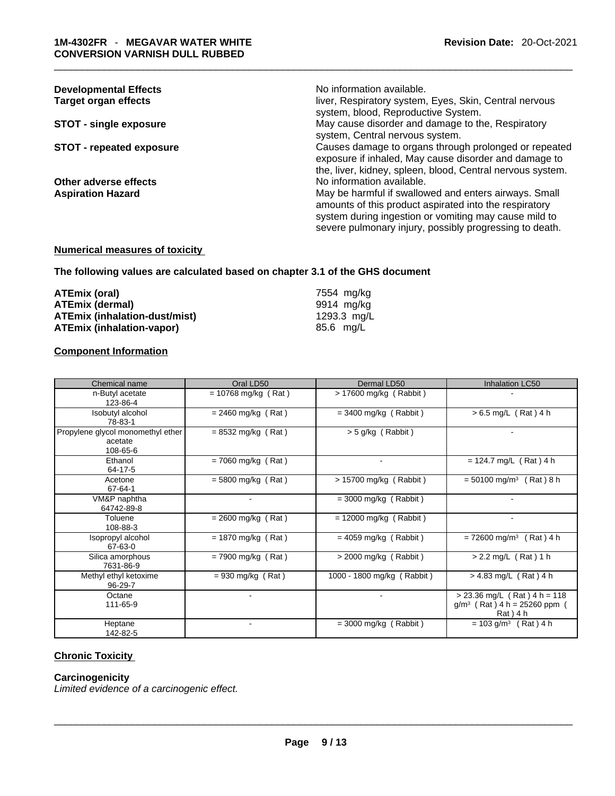| No information available.                                                                                                                                                                                                           |
|-------------------------------------------------------------------------------------------------------------------------------------------------------------------------------------------------------------------------------------|
| liver, Respiratory system, Eyes, Skin, Central nervous<br>system, blood, Reproductive System.                                                                                                                                       |
| May cause disorder and damage to the, Respiratory<br>system, Central nervous system.                                                                                                                                                |
| Causes damage to organs through prolonged or repeated<br>exposure if inhaled, May cause disorder and damage to<br>the, liver, kidney, spleen, blood, Central nervous system.                                                        |
| No information available.                                                                                                                                                                                                           |
| May be harmful if swallowed and enters airways. Small<br>amounts of this product aspirated into the respiratory<br>system during ingestion or vomiting may cause mild to<br>severe pulmonary injury, possibly progressing to death. |
|                                                                                                                                                                                                                                     |

### **Numerical measures of toxicity**

### **The following values are calculated based on chapter 3.1 of the GHS document**

| ATEmix (oral)                        | 7554 mg/kg    |
|--------------------------------------|---------------|
| <b>ATEmix (dermal)</b>               | 9914 ma/ka    |
| <b>ATEmix (inhalation-dust/mist)</b> | 1293.3 $mq/L$ |
| ATEmix (inhalation-vapor)            | 85.6 mg/L     |

# **Component Information**

| Chemical name                                            | Oral LD50             | Dermal LD50                | Inhalation LC50                                                                  |
|----------------------------------------------------------|-----------------------|----------------------------|----------------------------------------------------------------------------------|
| n-Butyl acetate<br>123-86-4                              | $= 10768$ mg/kg (Rat) | $> 17600$ mg/kg (Rabbit)   |                                                                                  |
| Isobutyl alcohol<br>78-83-1                              | $= 2460$ mg/kg (Rat)  | $=$ 3400 mg/kg (Rabbit)    | $> 6.5$ mg/L (Rat) 4 h                                                           |
| Propylene glycol monomethyl ether<br>acetate<br>108-65-6 | $= 8532$ mg/kg (Rat)  | $>$ 5 g/kg (Rabbit)        |                                                                                  |
| Ethanol<br>64-17-5                                       | $= 7060$ mg/kg (Rat)  | $\overline{\phantom{0}}$   | $= 124.7$ mg/L (Rat) 4 h                                                         |
| Acetone<br>67-64-1                                       | $= 5800$ mg/kg (Rat)  | > 15700 mg/kg (Rabbit)     | $= 50100$ mg/m <sup>3</sup> (Rat) 8 h                                            |
| VM&P naphtha<br>64742-89-8                               |                       | $=$ 3000 mg/kg (Rabbit)    |                                                                                  |
| Toluene<br>108-88-3                                      | $= 2600$ mg/kg (Rat)  | $= 12000$ mg/kg (Rabbit)   | $\overline{\phantom{0}}$                                                         |
| Isopropyl alcohol<br>67-63-0                             | $= 1870$ mg/kg (Rat)  | $= 4059$ mg/kg (Rabbit)    | $= 72600$ mg/m <sup>3</sup> (Rat) 4 h                                            |
| Silica amorphous<br>7631-86-9                            | $= 7900$ mg/kg (Rat)  | $>$ 2000 mg/kg (Rabbit)    | > 2.2 mg/L (Rat) 1 h                                                             |
| Methyl ethyl ketoxime<br>96-29-7                         | $= 930$ mg/kg (Rat)   | 1000 - 1800 mg/kg (Rabbit) | $> 4.83$ mg/L (Rat) 4 h                                                          |
| Octane<br>111-65-9                                       |                       | $\blacksquare$             | $> 23.36$ mg/L (Rat) 4 h = 118<br>$g/m^3$ (Rat) 4 h = 25260 ppm (<br>$Rat$ ) 4 h |
| Heptane<br>142-82-5                                      |                       | $=$ 3000 mg/kg (Rabbit)    | $= 103$ g/m <sup>3</sup> (Rat) 4 h                                               |

### **Chronic Toxicity**

# **Carcinogenicity**

*Limited evidence of a carcinogenic effect.*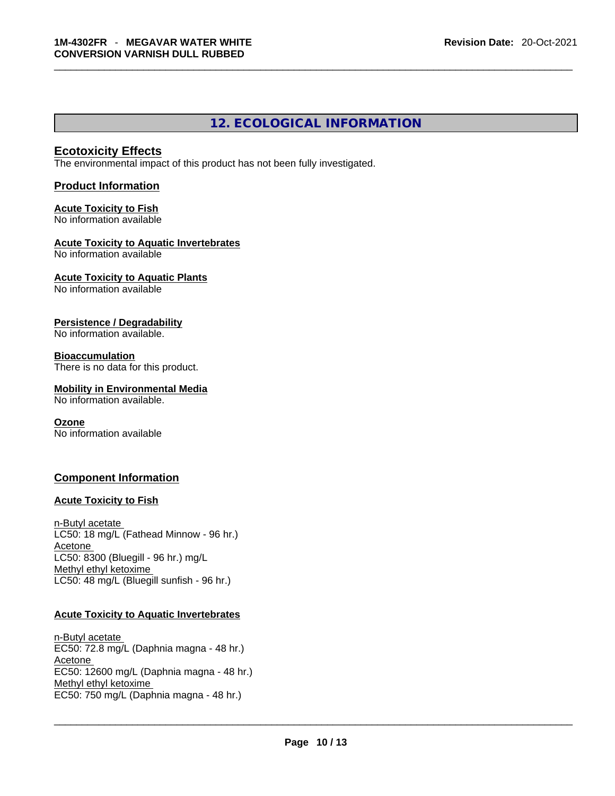# **12. ECOLOGICAL INFORMATION**

# **Ecotoxicity Effects**

The environmental impact of this product has not been fully investigated.

# **Product Information**

#### **Acute Toxicity to Fish** No information available

#### **Acute Toxicity to Aquatic Invertebrates** No information available

**Acute Toxicity to Aquatic Plants** No information available

# **Persistence / Degradability**

No information available.

### **Bioaccumulation**

There is no data for this product.

#### **Mobility in Environmental Media** No information available.

### **Ozone**

No information available

# **Component Information**

### **Acute Toxicity to Fish**

n-Butyl acetate LC50: 18 mg/L (Fathead Minnow - 96 hr.) Acetone LC50: 8300 (Bluegill - 96 hr.) mg/L Methyl ethyl ketoxime LC50: 48 mg/L (Bluegill sunfish - 96 hr.)

### **Acute Toxicity to Aquatic Invertebrates**

n-Butyl acetate EC50: 72.8 mg/L (Daphnia magna - 48 hr.) Acetone EC50: 12600 mg/L (Daphnia magna - 48 hr.) Methyl ethyl ketoxime EC50: 750 mg/L (Daphnia magna - 48 hr.)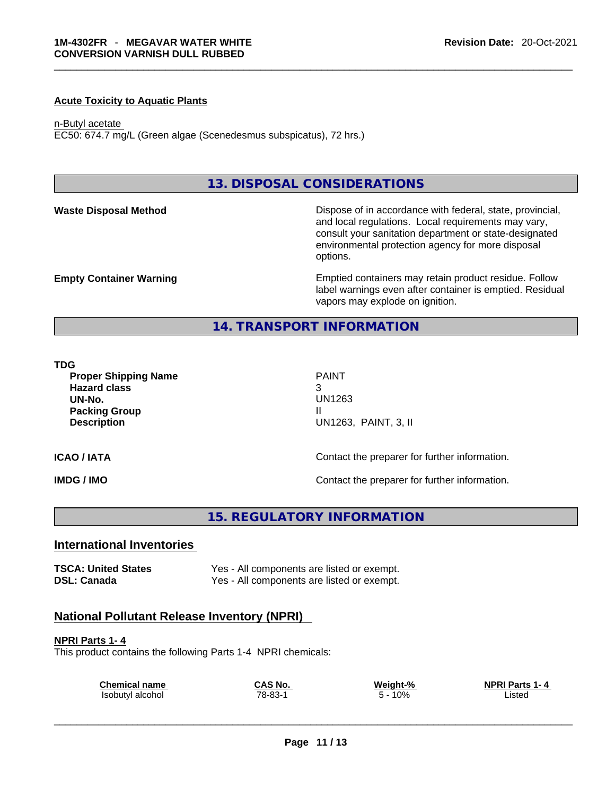#### **Acute Toxicity to Aquatic Plants**

n-Butyl acetate EC50: 674.7 mg/L (Green algae (Scenedesmus subspicatus), 72 hrs.)

# **13. DISPOSAL CONSIDERATIONS**

**Waste Disposal Method** Dispose of in accordance with federal, state, provincial, and local regulations. Local requirements may vary, consult your sanitation department or state-designated environmental protection agency for more disposal options.

**Empty Container Warning <b>Emptied** Containers may retain product residue. Follow label warnings even after container is emptied. Residual vapors may explode on ignition.

# **14. TRANSPORT INFORMATION**

#### **TDG**

**Proper Shipping Name** PAINT **Hazard class** 3 **UN-No.** UN1263 **Packing Group III Description** UN1263, PAINT, 3, II

#### **ICAO / IATA ICAO / IATA Contact the preparer for further information.**

#### **IMDG / IMO IMO Contact the preparer for further information.**

**15. REGULATORY INFORMATION** 

## **International Inventories**

**TSCA: United States** Yes - All components are listed or exempt. **DSL: Canada Yes - All components are listed or exempt.** 

# **National Pollutant Release Inventory (NPRI)**

### **NPRI Parts 1- 4**

This product contains the following Parts 1-4 NPRI chemicals:

| Chemical name    | CAS No.  | Weight-% | <b>NPRI Parts 1-4</b> |  |
|------------------|----------|----------|-----------------------|--|
| Isobutyl alcohol | $78-83-$ | 10%      | Listec                |  |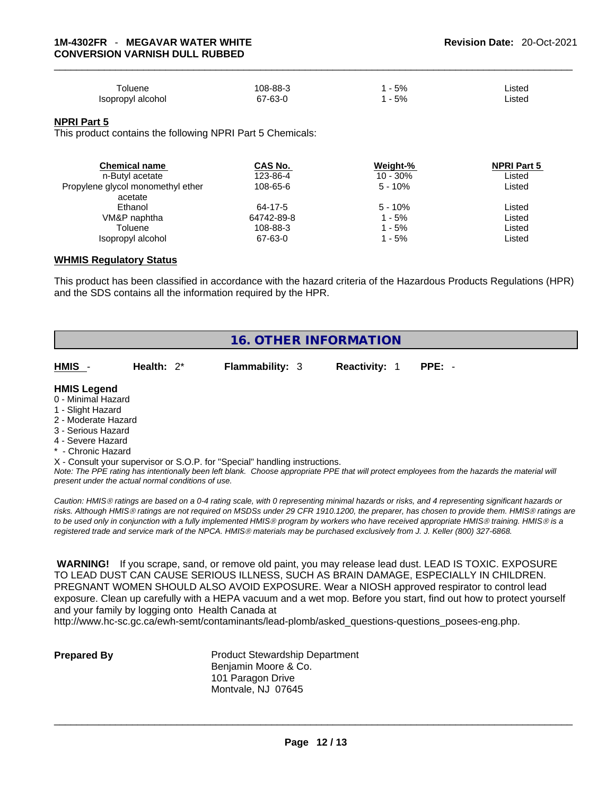| <b>Toluene</b>    | 108-88-3 | $-5%$ | ∟isted |
|-------------------|----------|-------|--------|
| Isopropyl alcohol | 67-63-0  | $-5%$ | Listed |

#### **NPRI Part 5**

This product contains the following NPRI Part 5 Chemicals:

| <b>Chemical name</b>              | CAS No.    | Weight-%    | <b>NPRI Part 5</b> |  |
|-----------------------------------|------------|-------------|--------------------|--|
| n-Butyl acetate                   | 123-86-4   | $10 - 30\%$ | Listed             |  |
| Propylene glycol monomethyl ether | 108-65-6   | $5 - 10%$   | Listed             |  |
| acetate                           |            |             |                    |  |
| Ethanol                           | 64-17-5    | $5 - 10%$   | Listed             |  |
| VM&P naphtha                      | 64742-89-8 | 1 - 5%      | Listed             |  |
| Toluene                           | 108-88-3   | - 5%        | Listed             |  |
| Isopropyl alcohol                 | 67-63-0    | 1 - 5%      | Listed             |  |

#### **WHMIS Regulatory Status**

This product has been classified in accordance with the hazard criteria of the Hazardous Products Regulations (HPR) and the SDS contains all the information required by the HPR.

| <b>16. OTHER INFORMATION</b>                                                                                                                          |                                                    |                                                                            |                      |                                                                                                                                               |
|-------------------------------------------------------------------------------------------------------------------------------------------------------|----------------------------------------------------|----------------------------------------------------------------------------|----------------------|-----------------------------------------------------------------------------------------------------------------------------------------------|
| HMIS -                                                                                                                                                | Health: $2^*$                                      | <b>Flammability: 3</b>                                                     | <b>Reactivity: 1</b> | $PPE: -$                                                                                                                                      |
| <b>HMIS Legend</b><br>0 - Minimal Hazard<br>1 - Slight Hazard<br>2 - Moderate Hazard<br>3 - Serious Hazard<br>4 - Severe Hazard<br>* - Chronic Hazard |                                                    |                                                                            |                      |                                                                                                                                               |
|                                                                                                                                                       | present under the actual normal conditions of use. | X - Consult your supervisor or S.O.P. for "Special" handling instructions. |                      | Note: The PPE rating has intentionally been left blank. Choose appropriate PPE that will protect employees from the hazards the material will |

*Caution: HMISÒ ratings are based on a 0-4 rating scale, with 0 representing minimal hazards or risks, and 4 representing significant hazards or risks. Although HMISÒ ratings are not required on MSDSs under 29 CFR 1910.1200, the preparer, has chosen to provide them. HMISÒ ratings are to be used only in conjunction with a fully implemented HMISÒ program by workers who have received appropriate HMISÒ training. HMISÒ is a registered trade and service mark of the NPCA. HMISÒ materials may be purchased exclusively from J. J. Keller (800) 327-6868.* 

 **WARNING!** If you scrape, sand, or remove old paint, you may release lead dust. LEAD IS TOXIC. EXPOSURE TO LEAD DUST CAN CAUSE SERIOUS ILLNESS, SUCH AS BRAIN DAMAGE, ESPECIALLY IN CHILDREN. PREGNANT WOMEN SHOULD ALSO AVOID EXPOSURE.Wear a NIOSH approved respirator to control lead exposure. Clean up carefully with a HEPA vacuum and a wet mop. Before you start, find out how to protect yourself and your family by logging onto Health Canada at

http://www.hc-sc.gc.ca/ewh-semt/contaminants/lead-plomb/asked\_questions-questions\_posees-eng.php.

**Prepared By Product Stewardship Department** Benjamin Moore & Co. 101 Paragon Drive Montvale, NJ 07645